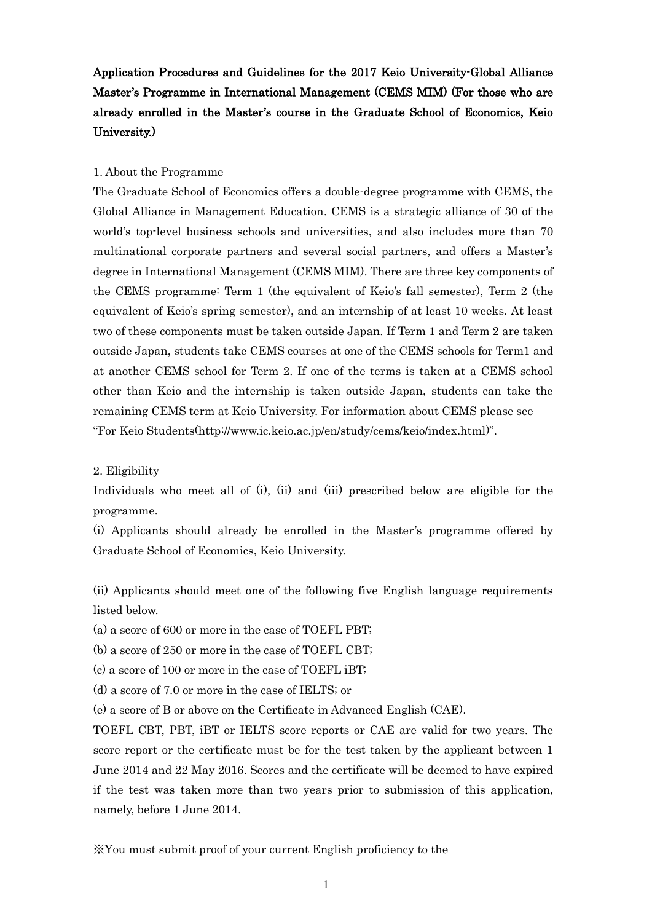# Application Procedures and Guidelines for the 2017 Keio University-Global Alliance Master's Programme in International Management (CEMS MIM) (For those who are already enrolled in the Master's course in the Graduate School of Economics, Keio University.)

#### 1. About the Programme

The Graduate School of Economics offers a double-degree programme with CEMS, the Global Alliance in Management Education. CEMS is a strategic alliance of 30 of the world's top-level business schools and universities, and also includes more than 70 multinational corporate partners and several social partners, and offers a Master's degree in International Management (CEMS MIM). There are three key components of the CEMS programme: Term 1 (the equivalent of Keio's fall semester), Term 2 (the equivalent of Keio's spring semester), and an internship of at least 10 weeks. At least two of these components must be taken outside Japan. If Term 1 and Term 2 are taken outside Japan, students take CEMS courses at one of the CEMS schools for Term1 and at another CEMS school for Term 2. If one of the terms is taken at a CEMS school other than Keio and the internship is taken outside Japan, students can take the remaining CEMS term at Keio University. For information about CEMS please see "[For Keio Students\(http://www.ic.keio.ac.jp/en/study/cems/keio/index.html\)](http://www.ic.keio.ac.jp/en/study/cems/keio/index.html)".

2. Eligibility

Individuals who meet all of (i), (ii) and (iii) prescribed below are eligible for the programme.

(i) Applicants should already be enrolled in the Master's programme offered by Graduate School of Economics, Keio University.

(ii) Applicants should meet one of the following five English language requirements listed below.

(a) a score of 600 or more in the case of TOEFL PBT;

(b) a score of 250 or more in the case of TOEFL CBT;

(c) a score of 100 or more in the case of TOEFL iBT;

(d) a score of 7.0 or more in the case of IELTS; or

(e) a score of B or above on the Certificate in Advanced English (CAE).

TOEFL CBT, PBT, iBT or IELTS score reports or CAE are valid for two years. The score report or the certificate must be for the test taken by the applicant between 1 June 2014 and 22 May 2016. Scores and the certificate will be deemed to have expired if the test was taken more than two years prior to submission of this application, namely, before 1 June 2014.

※You must submit proof of your current English proficiency to the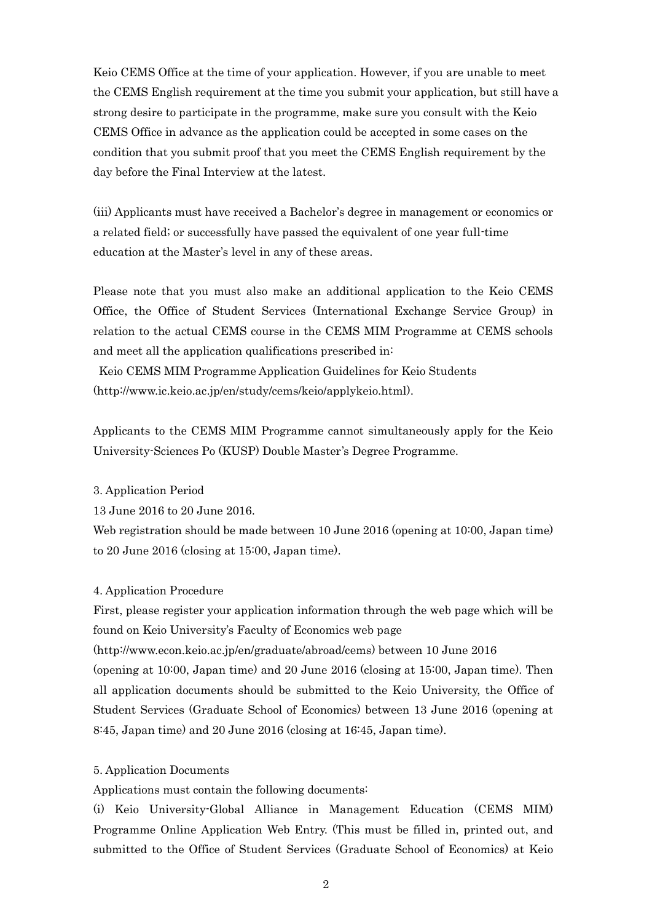Keio CEMS Office at the time of your application. However, if you are unable to meet the CEMS English requirement at the time you submit your application, but still have a strong desire to participate in the programme, make sure you consult with the Keio CEMS Office in advance as the application could be accepted in some cases on the condition that you submit proof that you meet the CEMS English requirement by the day before the Final Interview at the latest.

(iii) Applicants must have received a Bachelor's degree in management or economics or a related field; or successfully have passed the equivalent of one year full-time education at the Master's level in any of these areas.

Please note that you must also make an additional application to the Keio CEMS Office, the Office of Student Services (International Exchange Service Group) in relation to the actual CEMS course in the CEMS MIM Programme at CEMS schools and meet all the application qualifications prescribed in:

Keio CEMS MIM Programme Application Guidelines for Keio Students (http://www.ic.keio.ac.jp/en/study/cems/keio/applykeio.html).

Applicants to the CEMS MIM Programme cannot simultaneously apply for the Keio University-Sciences Po (KUSP) Double Master's Degree Programme.

### 3. Application Period

13 June 2016 to 20 June 2016.

Web registration should be made between 10 June 2016 (opening at 10:00, Japan time) to 20 June 2016 (closing at 15:00, Japan time).

### 4. Application Procedure

First, please register your application information through the web page which will be found on Keio University's Faculty of Economics web page

(http://www.econ.keio.ac.jp/en/graduate/abroad/cems) between 10 June 2016 (opening at 10:00, Japan time) and 20 June 2016 (closing at 15:00, Japan time). Then all application documents should be submitted to the Keio University, the Office of Student Services (Graduate School of Economics) between 13 June 2016 (opening at 8:45, Japan time) and 20 June 2016 (closing at 16:45, Japan time).

### 5. Application Documents

Applications must contain the following documents:

(i) Keio University-Global Alliance in Management Education (CEMS MIM) Programme Online Application Web Entry. (This must be filled in, printed out, and submitted to the Office of Student Services (Graduate School of Economics) at Keio